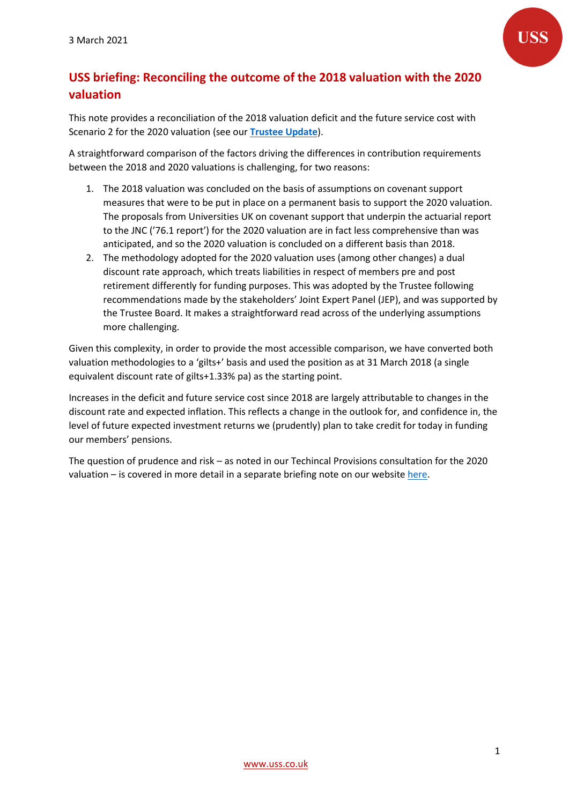

# **USS briefing: Reconciling the outcome of the 2018 valuation with the 2020 valuation**

This note provides a reconciliation of the 2018 valuation deficit and the future service cost with Scenario 2 for the 2020 valuation (see our **[Trustee Update](https://www.uss.co.uk/about-us/valuation-and-funding/2020-valuation)**).

A straightforward comparison of the factors driving the differences in contribution requirements between the 2018 and 2020 valuations is challenging, for two reasons:

- 1. The 2018 valuation was concluded on the basis of assumptions on covenant support measures that were to be put in place on a permanent basis to support the 2020 valuation. The proposals from Universities UK on covenant support that underpin the actuarial report to the JNC ('76.1 report') for the 2020 valuation are in fact less comprehensive than was anticipated, and so the 2020 valuation is concluded on a different basis than 2018.
- 2. The methodology adopted for the 2020 valuation uses (among other changes) a dual discount rate approach, which treats liabilities in respect of members pre and post retirement differently for funding purposes. This was adopted by the Trustee following recommendations made by the stakeholders' Joint Expert Panel (JEP), and was supported by the Trustee Board. It makes a straightforward read across of the underlying assumptions more challenging.

Given this complexity, in order to provide the most accessible comparison, we have converted both valuation methodologies to a 'gilts+' basis and used the position as at 31 March 2018 (a single equivalent discount rate of gilts+1.33% pa) as the starting point.

Increases in the deficit and future service cost since 2018 are largely attributable to changes in the discount rate and expected inflation. This reflects a change in the outlook for, and confidence in, the level of future expected investment returns we (prudently) plan to take credit for today in funding our members' pensions.

The question of prudence and risk – as noted in our Techincal Provisions consultation for the 2020 valuation – is covered in more detail in a separate briefing note on our websit[e here.](https://www.uss.co.uk/about-us/valuation-and-funding/2020-valuation)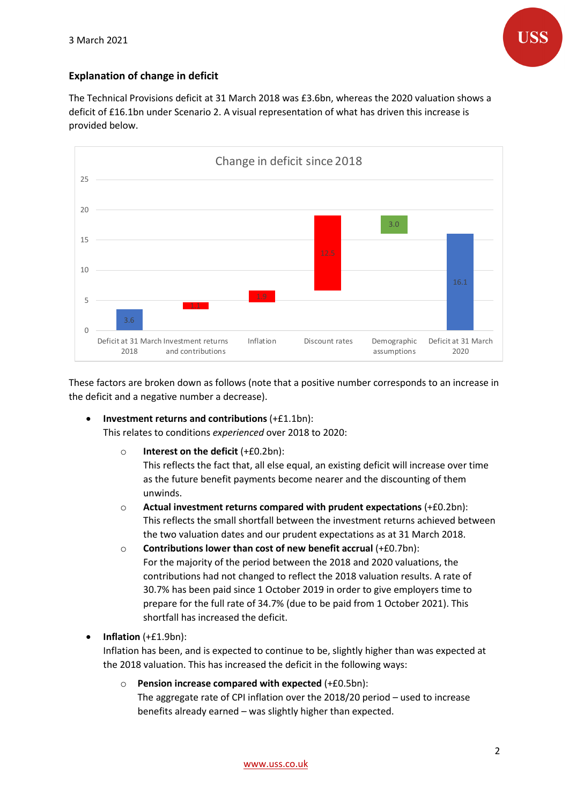

# **Explanation of change in deficit**

The Technical Provisions deficit at 31 March 2018 was £3.6bn, whereas the 2020 valuation shows a deficit of £16.1bn under Scenario 2. A visual representation of what has driven this increase is provided below.



These factors are broken down as follows (note that a positive number corresponds to an increase in the deficit and a negative number a decrease).

- **Investment returns and contributions** (+£1.1bn): This relates to conditions *experienced* over 2018 to 2020:
	- o **Interest on the deficit** (+£0.2bn):

This reflects the fact that, all else equal, an existing deficit will increase over time as the future benefit payments become nearer and the discounting of them unwinds.

- o **Actual investment returns compared with prudent expectations** (+£0.2bn): This reflects the small shortfall between the investment returns achieved between the two valuation dates and our prudent expectations as at 31 March 2018.
- o **Contributions lower than cost of new benefit accrual** (+£0.7bn): For the majority of the period between the 2018 and 2020 valuations, the contributions had not changed to reflect the 2018 valuation results. A rate of 30.7% has been paid since 1 October 2019 in order to give employers time to prepare for the full rate of 34.7% (due to be paid from 1 October 2021). This shortfall has increased the deficit.
- **Inflation** (+£1.9bn):

Inflation has been, and is expected to continue to be, slightly higher than was expected at the 2018 valuation. This has increased the deficit in the following ways:

o **Pension increase compared with expected** (+£0.5bn): The aggregate rate of CPI inflation over the 2018/20 period – used to increase benefits already earned – was slightly higher than expected.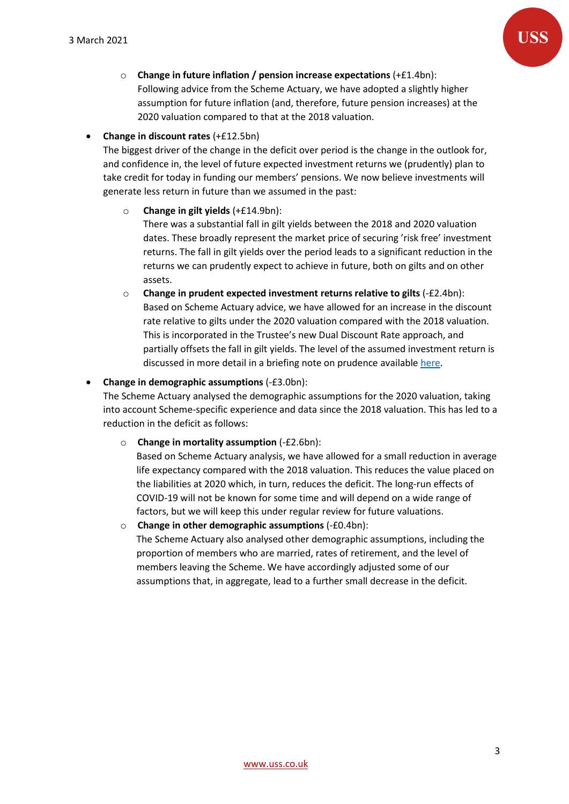

o **Change in future inflation / pension increase expectations** (+£1.4bn): Following advice from the Scheme Actuary, we have adopted a slightly higher assumption for future inflation (and, therefore, future pension increases) at the 2020 valuation compared to that at the 2018 valuation.

• **Change in discount rates** (+£12.5bn)

The biggest driver of the change in the deficit over period is the change in the outlook for, and confidence in, the level of future expected investment returns we (prudently) plan to take credit for today in funding our members' pensions. We now believe investments will generate less return in future than we assumed in the past:

#### o **Change in gilt yields** (+£14.9bn):

There was a substantial fall in gilt yields between the 2018 and 2020 valuation dates. These broadly represent the market price of securing 'risk free' investment returns. The fall in gilt yields over the period leads to a significant reduction in the returns we can prudently expect to achieve in future, both on gilts and on other assets.

o **Change in prudent expected investment returns relative to gilts** (-£2.4bn): Based on Scheme Actuary advice, we have allowed for an increase in the discount rate relative to gilts under the 2020 valuation compared with the 2018 valuation. This is incorporated in the Trustee's new Dual Discount Rate approach, and partially offsets the fall in gilt yields. The level of the assumed investment return is discussed in more detail in a briefing note on prudence available [here.](https://www.uss.co.uk/about-us/valuation-and-funding/2020-valuation)

## • **Change in demographic assumptions** (-£3.0bn):

The Scheme Actuary analysed the demographic assumptions for the 2020 valuation, taking into account Scheme-specific experience and data since the 2018 valuation. This has led to a reduction in the deficit as follows:

o **Change in mortality assumption** (-£2.6bn):

Based on Scheme Actuary analysis, we have allowed for a small reduction in average life expectancy compared with the 2018 valuation. This reduces the value placed on the liabilities at 2020 which, in turn, reduces the deficit. The long-run effects of COVID-19 will not be known for some time and will depend on a wide range of factors, but we will keep this under regular review for future valuations.

o **Change in other demographic assumptions** (-£0.4bn): The Scheme Actuary also analysed other demographic assumptions, including the proportion of members who are married, rates of retirement, and the level of members leaving the Scheme. We have accordingly adjusted some of our assumptions that, in aggregate, lead to a further small decrease in the deficit.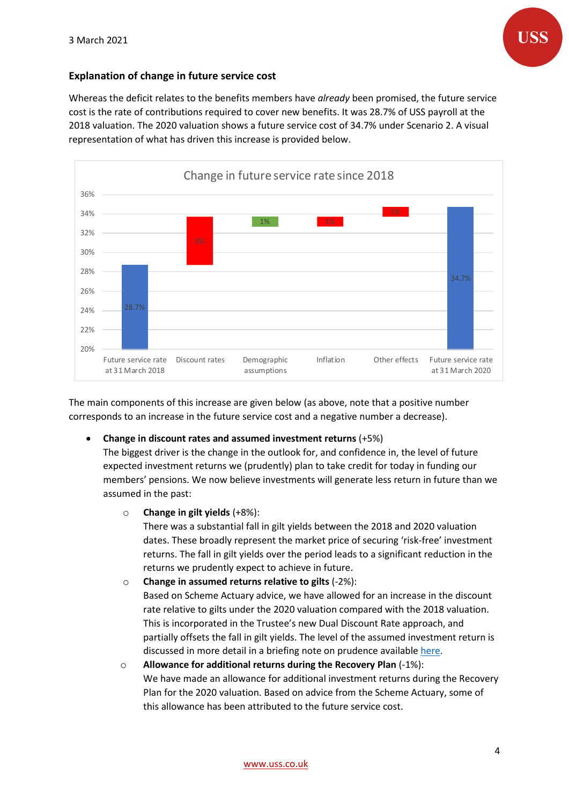

## **Explanation of change in future service cost**

Whereas the deficit relates to the benefits members have *already* been promised, the future service cost is the rate of contributions required to cover new benefits. It was 28.7% of USS payroll at the 2018 valuation. The 2020 valuation shows a future service cost of 34.7% under Scenario 2. A visual representation of what has driven this increase is provided below.



The main components of this increase are given below (as above, note that a positive number corresponds to an increase in the future service cost and a negative number a decrease).

• **Change in discount rates and assumed investment returns** (+5%)

The biggest driver is the change in the outlook for, and confidence in, the level of future expected investment returns we (prudently) plan to take credit for today in funding our members' pensions. We now believe investments will generate less return in future than we assumed in the past:

o **Change in gilt yields** (+8%):

There was a substantial fall in gilt yields between the 2018 and 2020 valuation dates. These broadly represent the market price of securing 'risk-free' investment returns. The fall in gilt yields over the period leads to a significant reduction in the returns we prudently expect to achieve in future.

- o **Change in assumed returns relative to gilts** (-2%): Based on Scheme Actuary advice, we have allowed for an increase in the discount rate relative to gilts under the 2020 valuation compared with the 2018 valuation. This is incorporated in the Trustee's new Dual Discount Rate approach, and partially offsets the fall in gilt yields. The level of the assumed investment return is discussed in more detail in a briefing note on prudence available [here.](https://www.uss.co.uk/about-us/valuation-and-funding/2020-valuation)
- o **Allowance for additional returns during the Recovery Plan** (-1%): We have made an allowance for additional investment returns during the Recovery Plan for the 2020 valuation. Based on advice from the Scheme Actuary, some of this allowance has been attributed to the future service cost.